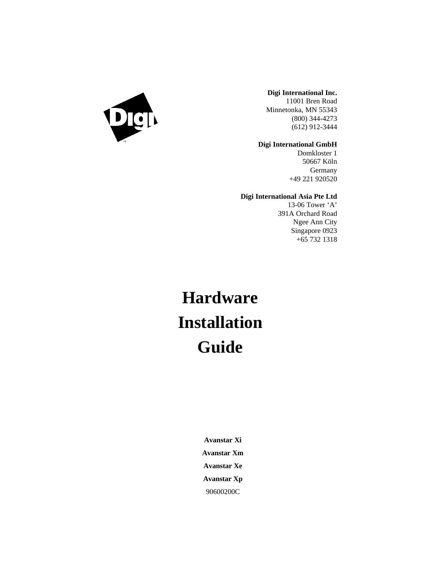

### **Digi International Inc.**

11001 Bren Road Minnetonka, MN 55343 (800) 344-4273 (612) 912-3444

### **Digi International GmbH**

Domkloster 1 50667 Köln **Germany** +49 221 920520

### **Digi International Asia Pte Ltd**

13-06 Tower 'A' 391A Orchard Road Ngee Ann City Singapore 0923 +65 732 1318

# **Hardware Installation Guide**

**Avanstar Xi Avanstar Xm Avanstar Xe Avanstar Xp** 90600200C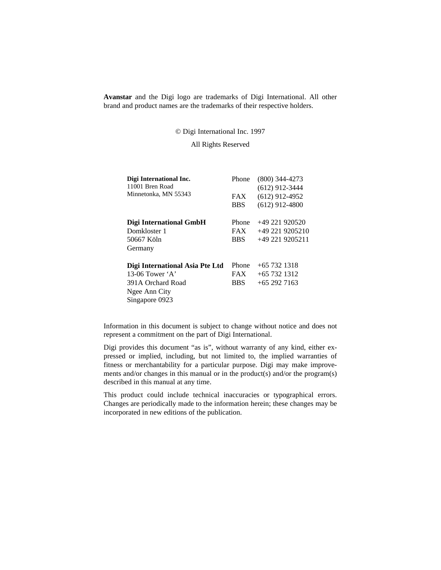**Avanstar** and the Digi logo are trademarks of Digi International. All other brand and product names are the trademarks of their respective holders.

© Digi International Inc. 1997

All Rights Reserved

| Digi International Inc.<br>11001 Bren Road | Phone      | $(800)$ 344-4273<br>$(612)$ 912-3444 |
|--------------------------------------------|------------|--------------------------------------|
| Minnetonka, MN 55343                       | <b>FAX</b> | $(612)$ 912-4952                     |
|                                            | <b>BBS</b> | $(612)$ 912-4800                     |
| Digi International GmbH                    | Phone      | $+49221920520$                       |
| Domkloster 1                               | <b>FAX</b> | $+492219205210$                      |
| 50667 Köln                                 | <b>BBS</b> | $+49$ 221 9205211                    |
| Germany                                    |            |                                      |
| Digi International Asia Pte Ltd            | Phone      | $+657321318$                         |
| 13-06 Tower $\mathbf{A}$                   | <b>FAX</b> | $+65$ 732 1312                       |
| 391A Orchard Road                          | <b>BBS</b> | $+652927163$                         |
| Ngee Ann City                              |            |                                      |
| Singapore 0923                             |            |                                      |

Information in this document is subject to change without notice and does not represent a commitment on the part of Digi International.

Digi provides this document "as is", without warranty of any kind, either expressed or implied, including, but not limited to, the implied warranties of fitness or merchantability for a particular purpose. Digi may make improvements and/or changes in this manual or in the product(s) and/or the program(s) described in this manual at any time.

This product could include technical inaccuracies or typographical errors. Changes are periodically made to the information herein; these changes may be incorporated in new editions of the publication.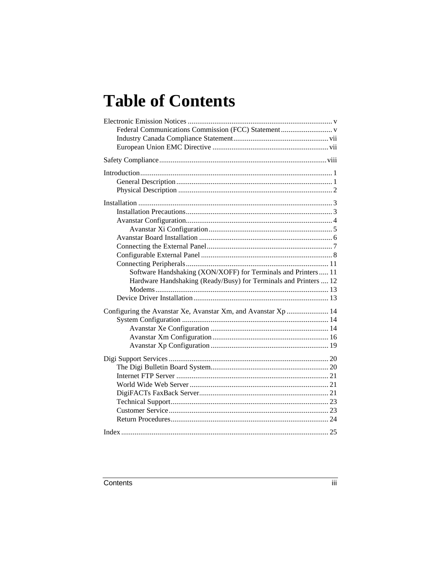# **Table of Contents**

| Software Handshaking (XON/XOFF) for Terminals and Printers 11    |  |
|------------------------------------------------------------------|--|
| Hardware Handshaking (Ready/Busy) for Terminals and Printers  12 |  |
|                                                                  |  |
|                                                                  |  |
| Configuring the Avanstar Xe, Avanstar Xm, and Avanstar Xp  14    |  |
|                                                                  |  |
|                                                                  |  |
|                                                                  |  |
|                                                                  |  |
|                                                                  |  |
|                                                                  |  |
|                                                                  |  |
|                                                                  |  |
|                                                                  |  |
|                                                                  |  |
|                                                                  |  |
|                                                                  |  |
|                                                                  |  |
|                                                                  |  |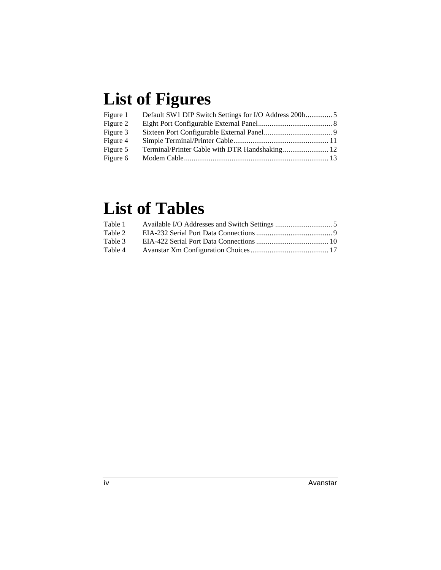# **List of Figures**

| Figure 1 |                                                |  |
|----------|------------------------------------------------|--|
| Figure 2 |                                                |  |
| Figure 3 |                                                |  |
| Figure 4 |                                                |  |
| Figure 5 | Terminal/Printer Cable with DTR Handshaking 12 |  |
| Figure 6 |                                                |  |

# **List of Tables**

| Table 1 |  |
|---------|--|
| Table 2 |  |
| Table 3 |  |
| Table 4 |  |
|         |  |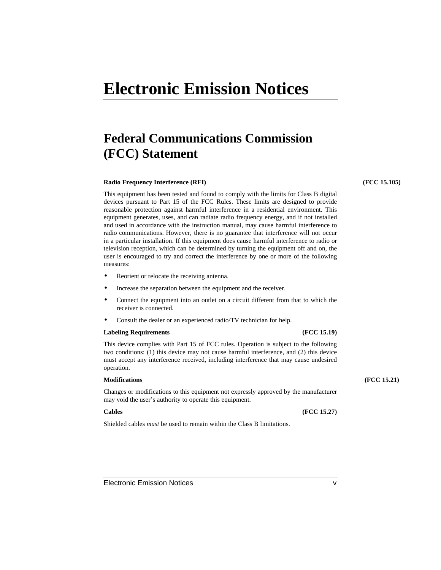# **Electronic Emission Notices**

# **Federal Communications Commission (FCC) Statement**

### **Radio Frequency Interference (RFI) (FCC 15.105)**

This equipment has been tested and found to comply with the limits for Class B digital devices pursuant to Part 15 of the FCC Rules. These limits are designed to provide reasonable protection against harmful interference in a residential environment. This equipment generates, uses, and can radiate radio frequency energy, and if not installed and used in accordance with the instruction manual, may cause harmful interference to radio communications. However, there is no guarantee that interference will not occur in a particular installation. If this equipment does cause harmful interference to radio or television reception, which can be determined by turning the equipment off and on, the user is encouraged to try and correct the interference by one or more of the following measures:

- Reorient or relocate the receiving antenna.
- Increase the separation between the equipment and the receiver.
- Connect the equipment into an outlet on a circuit different from that to which the receiver is connected.
- Consult the dealer or an experienced radio/TV technician for help.

### **Labeling Requirements (FCC 15.19)**

This device complies with Part 15 of FCC rules. Operation is subject to the following two conditions: (1) this device may not cause harmful interference, and (2) this device must accept any interference received, including interference that may cause undesired operation.

Changes or modifications to this equipment not expressly approved by the manufacturer may void the user's authority to operate this equipment.

Shielded cables *must* be used to remain within the Class B limitations.

### **Modifications (FCC 15.21)**

**Cables (FCC 15.27)**

Electronic Emission Notices v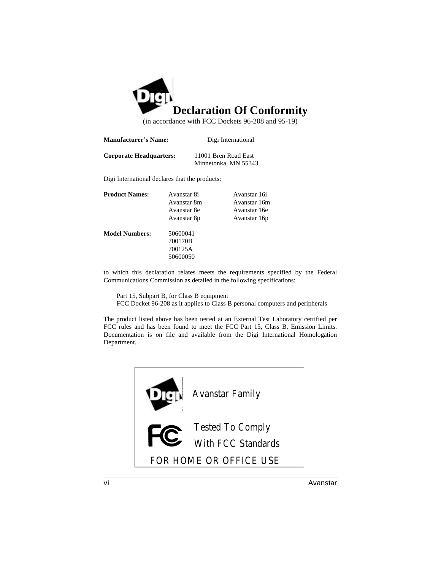

(in accordance with FCC Dockets 96-208 and 95-19)

| <b>Manufacturer's Name:</b>    | Digi International   |
|--------------------------------|----------------------|
| <b>Corporate Headquarters:</b> | 11001 Bren Road East |

Minnetonka, MN 55343

Digi International declares that the products:

| <b>Product Names:</b> | Avanstar 8i | Avanstar 16i |
|-----------------------|-------------|--------------|
|                       | Avanstar 8m | Avanstar 16m |
|                       | Avanstar 8e | Avanstar 16e |
|                       | Avanstar 8p | Avanstar 16p |
| <b>Model Numbers:</b> | 50600041    |              |
|                       | 700170B     |              |
|                       | 700125A     |              |
|                       | 50600050    |              |
|                       |             |              |

to which this declaration relates meets the requirements specified by the Federal Communications Commission as detailed in the following specifications:

Part 15, Subpart B, for Class B equipment FCC Docket 96-208 as it applies to Class B personal computers and peripherals

The product listed above has been tested at an External Test Laboratory certified per FCC rules and has been found to meet the FCC Part 15, Class B, Emission Limits. Documentation is on file and available from the Digi International Homologation Department.

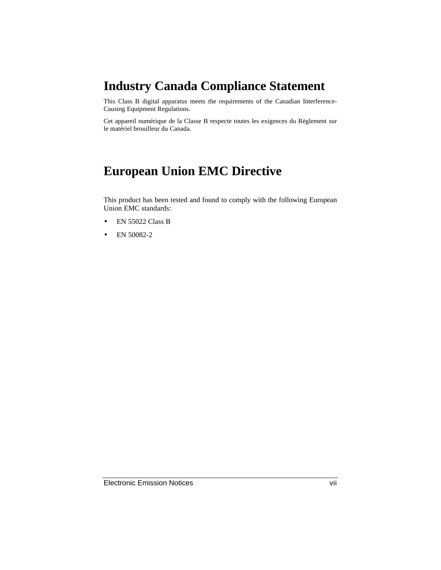# **Industry Canada Compliance Statement**

This Class B digital apparatus meets the requirements of the Canadian Interference-Causing Equipment Regulations.

Cet appareil numérique de la Classe B respecte toutes les exigences du Règlement sur le matériel brouilleur du Canada.

# **European Union EMC Directive**

This product has been tested and found to comply with the following European Union EMC standards:

- EN 55022 Class B
- EN 50082-2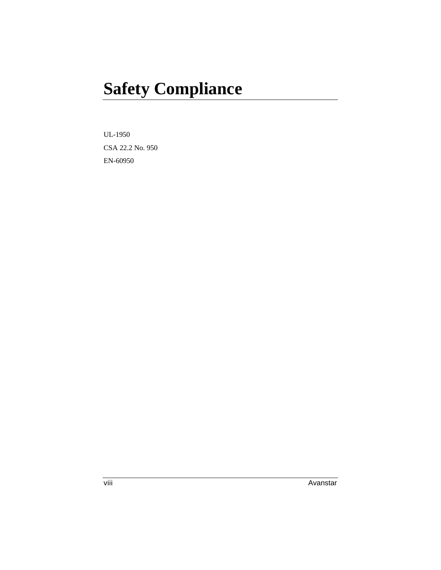# **Safety Compliance**

UL-1950 CSA 22.2 No. 950 EN-60950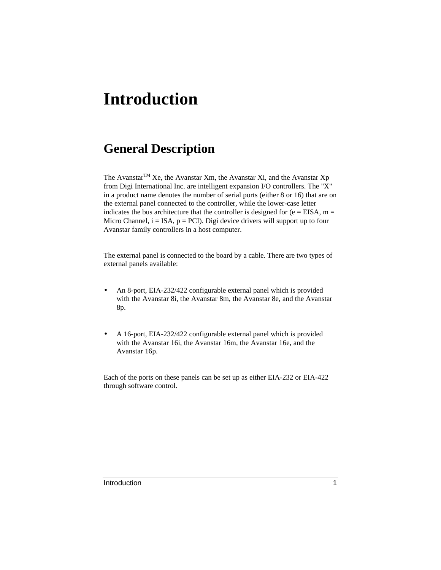# **General Description**

The Avanstar<sup>TM</sup> Xe, the Avanstar Xm, the Avanstar Xi, and the Avanstar Xp from Digi International Inc. are intelligent expansion I/O controllers. The "X" in a product name denotes the number of serial ports (either 8 or 16) that are on the external panel connected to the controller, while the lower-case letter indicates the bus architecture that the controller is designed for ( $e = EISA$ , m = Micro Channel,  $i = ISA$ ,  $p = PCI$ ). Digi device drivers will support up to four Avanstar family controllers in a host computer.

The external panel is connected to the board by a cable. There are two types of external panels available:

- An 8-port, EIA-232/422 configurable external panel which is provided with the Avanstar 8i, the Avanstar 8m, the Avanstar 8e, and the Avanstar 8p.
- A 16-port, EIA-232/422 configurable external panel which is provided with the Avanstar 16i, the Avanstar 16m, the Avanstar 16e, and the Avanstar 16p.

Each of the ports on these panels can be set up as either EIA-232 or EIA-422 through software control.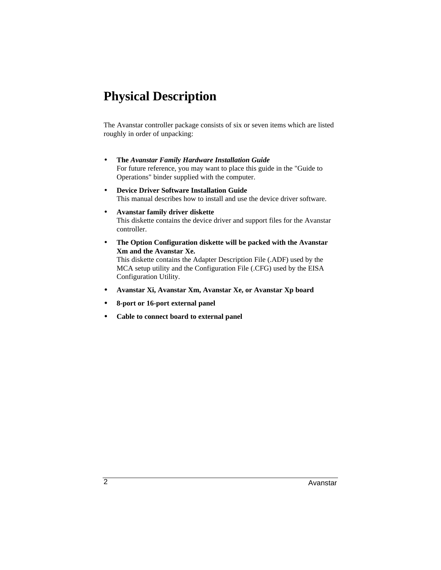# **Physical Description**

The Avanstar controller package consists of six or seven items which are listed roughly in order of unpacking:

- **The** *Avanstar Family Hardware Installation Guide* For future reference, you may want to place this guide in the "Guide to Operations" binder supplied with the computer.
- **Device Driver Software Installation Guide** This manual describes how to install and use the device driver software.
- **Avanstar family driver diskette** This diskette contains the device driver and support files for the Avanstar controller.
- **The Option Configuration diskette will be packed with the Avanstar Xm and the Avanstar Xe.** This diskette contains the Adapter Description File (.ADF) used by the MCA setup utility and the Configuration File (.CFG) used by the EISA Configuration Utility.
- **Avanstar Xi, Avanstar Xm, Avanstar Xe, or Avanstar Xp board**
- **8-port or 16-port external panel**
- **Cable to connect board to external panel**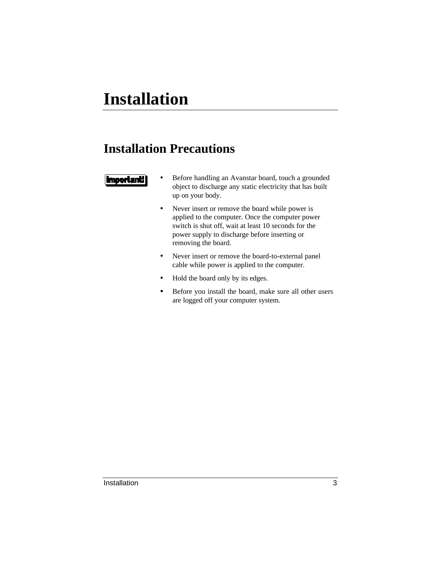# **Installation**

# **Installation Precautions**

### **Important**

- Before handling an Avanstar board, touch a grounded object to discharge any static electricity that has built up on your body.
- Never insert or remove the board while power is applied to the computer. Once the computer power switch is shut off, wait at least 10 seconds for the power supply to discharge before inserting or removing the board.
- Never insert or remove the board-to-external panel cable while power is applied to the computer.
- Hold the board only by its edges.
- Before you install the board, make sure all other users are logged off your computer system.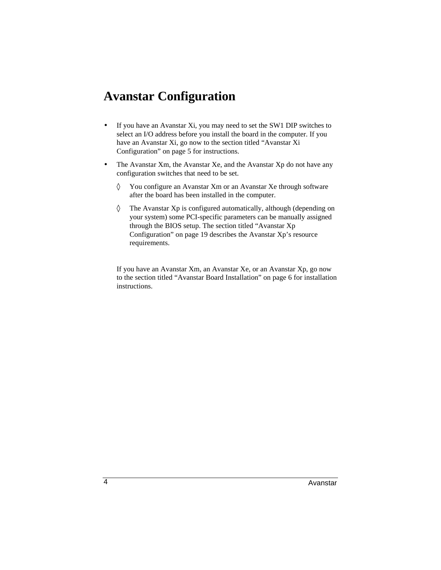## **Avanstar Configuration**

- If you have an Avanstar Xi, you may need to set the SW1 DIP switches to select an I/O address before you install the board in the computer. If you have an Avanstar Xi, go now to the section titled "Avanstar Xi Configuration" on page 5 for instructions.
- The Avanstar Xm, the Avanstar Xe, and the Avanstar Xp do not have any configuration switches that need to be set.
	- ◊ You configure an Avanstar Xm or an Avanstar Xe through software after the board has been installed in the computer.
	- ◊ The Avanstar Xp is configured automatically, although (depending on your system) some PCI-specific parameters can be manually assigned through the BIOS setup. The section titled "Avanstar Xp Configuration" on page 19 describes the Avanstar Xp's resource requirements.

If you have an Avanstar Xm, an Avanstar Xe, or an Avanstar Xp, go now to the section titled "Avanstar Board Installation" on page 6 for installation instructions.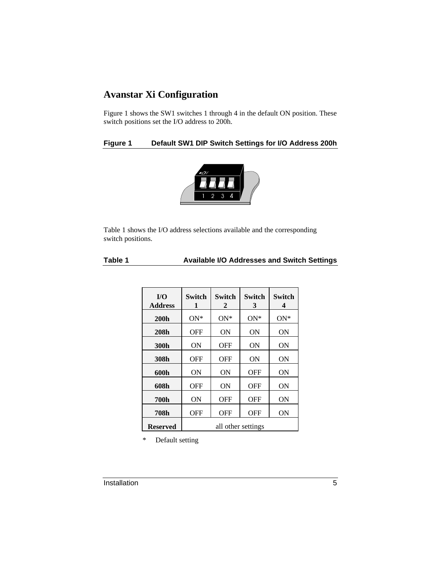### **Avanstar Xi Configuration**

Figure 1 shows the SW1 switches 1 through 4 in the default ON position. These switch positions set the I/O address to 200h.

### **Figure 1 Default SW1 DIP Switch Settings for I/O Address 200h**



Table 1 shows the I/O address selections available and the corresponding switch positions.

| Table 1 | <b>Available I/O Addresses and Switch Settings</b> |  |
|---------|----------------------------------------------------|--|
|---------|----------------------------------------------------|--|

| I/O<br><b>Address</b> | Switch<br>1        | Switch<br>2 | <b>Switch</b><br>3 | Switch<br>4 |
|-----------------------|--------------------|-------------|--------------------|-------------|
| <b>200h</b>           | $ON*$              | $ON*$       | $ON*$              | $ON*$       |
| 208h                  | <b>OFF</b>         | <b>ON</b>   | <b>ON</b>          | <b>ON</b>   |
| 300h                  | ON                 | OFF         | ON                 | OΝ          |
| 308h                  | OFF                | OFF         | ON                 | ON          |
| 600h                  | <b>ON</b>          | 0N          | OFF                | <b>ON</b>   |
| 608h                  | <b>OFF</b>         | ON          | <b>OFF</b>         | <b>ON</b>   |
| <b>700h</b>           | <b>ON</b>          | OFF         | OFF                | <b>ON</b>   |
| <b>708h</b>           | <b>OFF</b>         | <b>OFF</b>  | OFF                | <b>ON</b>   |
| <b>Reserved</b>       | all other settings |             |                    |             |

\* Default setting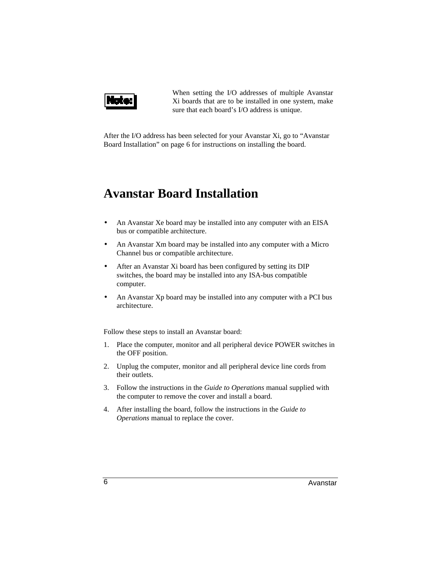

When setting the I/O addresses of multiple Avanstar Xi boards that are to be installed in one system, make sure that each board's I/O address is unique.

After the I/O address has been selected for your Avanstar Xi, go to "Avanstar Board Installation" on page 6 for instructions on installing the board.

## **Avanstar Board Installation**

- An Avanstar Xe board may be installed into any computer with an EISA bus or compatible architecture.
- An Avanstar Xm board may be installed into any computer with a Micro Channel bus or compatible architecture.
- After an Avanstar Xi board has been configured by setting its DIP switches, the board may be installed into any ISA-bus compatible computer.
- An Avanstar Xp board may be installed into any computer with a PCI bus architecture.

Follow these steps to install an Avanstar board:

- 1. Place the computer, monitor and all peripheral device POWER switches in the OFF position.
- 2. Unplug the computer, monitor and all peripheral device line cords from their outlets.
- 3. Follow the instructions in the *Guide to Operations* manual supplied with the computer to remove the cover and install a board.
- 4. After installing the board, follow the instructions in the *Guide to Operations* manual to replace the cover.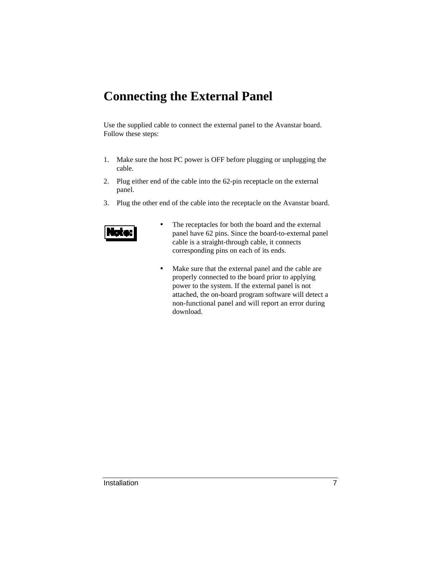# **Connecting the External Panel**

Use the supplied cable to connect the external panel to the Avanstar board. Follow these steps:

- 1. Make sure the host PC power is OFF before plugging or unplugging the cable.
- 2. Plug either end of the cable into the 62-pin receptacle on the external panel.
- 3. Plug the other end of the cable into the receptacle on the Avanstar board.



- The receptacles for both the board and the external panel have 62 pins. Since the board-to-external panel cable is a straight-through cable, it connects corresponding pins on each of its ends.
- Make sure that the external panel and the cable are properly connected to the board prior to applying power to the system. If the external panel is not attached, the on-board program software will detect a non-functional panel and will report an error during download.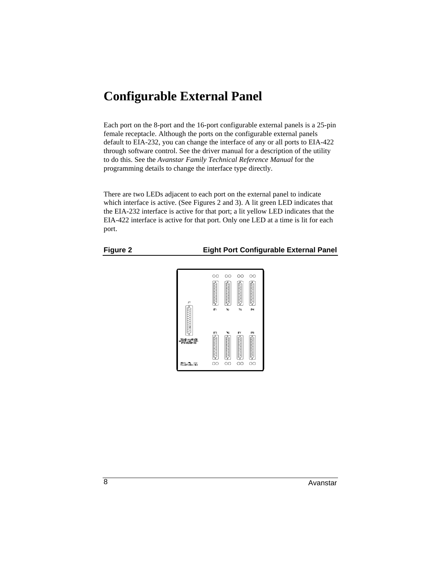## **Configurable External Panel**

Each port on the 8-port and the 16-port configurable external panels is a 25-pin female receptacle. Although the ports on the configurable external panels default to EIA-232, you can change the interface of any or all ports to EIA-422 through software control. See the driver manual for a description of the utility to do this. See the *Avanstar Family Technical Reference Manual* for the programming details to change the interface type directly.

There are two LEDs adjacent to each port on the external panel to indicate which interface is active. (See Figures 2 and 3). A lit green LED indicates that the EIA-232 interface is active for that port; a lit yellow LED indicates that the EIA-422 interface is active for that port. Only one LED at a time is lit for each port.

### **Figure 2 Eight Port Configurable External Panel**

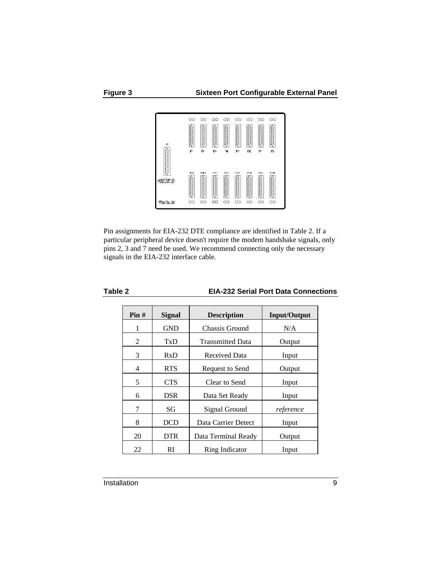

Pin assignments for EIA-232 DTE compliance are identified in Table 2. If a particular peripheral device doesn't require the modem handshake signals, only pins 2, 3 and 7 need be used. We recommend connecting only the necessary signals in the EIA-232 interface cable.

| Pin# | Signal     | <b>Description</b>      | <b>Input/Output</b> |
|------|------------|-------------------------|---------------------|
| 1    | <b>GND</b> | Chassis Ground          | N/A                 |
| 2    | TxD        | <b>Transmitted Data</b> | Output              |
| 3    | RxD        | Received Data           | Input               |
| 4    | <b>RTS</b> | Request to Send         | Output              |
| 5    | <b>CTS</b> | Clear to Send           | Input               |
| 6    | <b>DSR</b> | Data Set Ready          | Input               |
| 7    | SG         | Signal Ground           | reference           |
| 8    | DCD        | Data Carrier Detect     | Input               |
| 20   | <b>DTR</b> | Data Terminal Ready     | Output              |
| 22   | RI         | Ring Indicator          | Input               |

### **Table 2 EIA-232 Serial Port Data Connections**

Installation 9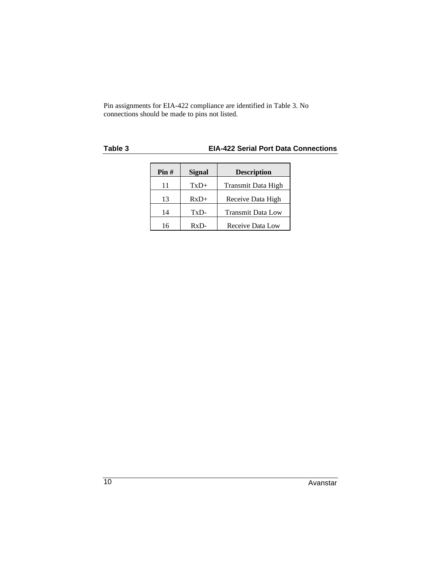Pin assignments for EIA-422 compliance are identified in Table 3. No connections should be made to pins not listed.

### **Table 3 EIA-422 Serial Port Data Connections**

| $\textbf{Pin} \#$ | <b>Signal</b> | <b>Description</b>       |
|-------------------|---------------|--------------------------|
| 11                | $TxD+$        | Transmit Data High       |
| 13                | $RxD+$        | Receive Data High        |
| 14                | TxD-          | <b>Transmit Data Low</b> |
| 16                | $RxD-$        | Receive Data Low         |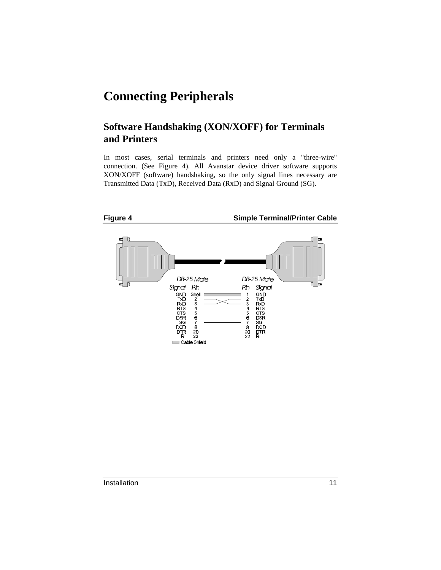## **Connecting Peripherals**

### **Software Handshaking (XON/XOFF) for Terminals and Printers**

In most cases, serial terminals and printers need only a "three-wire" connection. (See Figure 4). All Avanstar device driver software supports XON/XOFF (software) handshaking, so the only signal lines necessary are Transmitted Data (TxD), Received Data (RxD) and Signal Ground (SG).

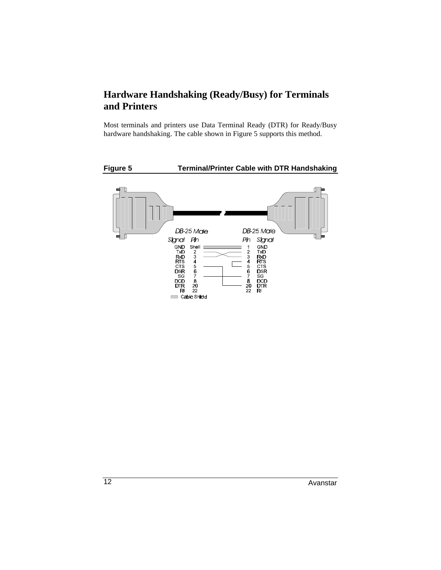### **Hardware Handshaking (Ready/Busy) for Terminals and Printers**

Most terminals and printers use Data Terminal Ready (DTR) for Ready/Busy hardware handshaking. The cable shown in Figure 5 supports this method.

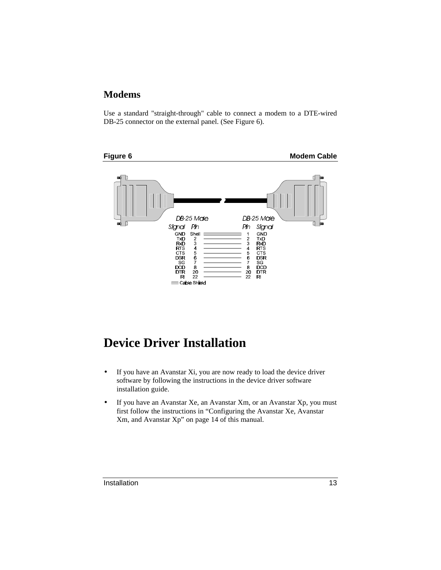### **Modems**

Use a standard "straight-through" cable to connect a modem to a DTE-wired DB-25 connector on the external panel. (See Figure 6).



# **Device Driver Installation**

- If you have an Avanstar Xi, you are now ready to load the device driver software by following the instructions in the device driver software installation guide.
- If you have an Avanstar Xe, an Avanstar Xm, or an Avanstar Xp, you must first follow the instructions in "Configuring the Avanstar Xe, Avanstar Xm, and Avanstar Xp" on page 14 of this manual.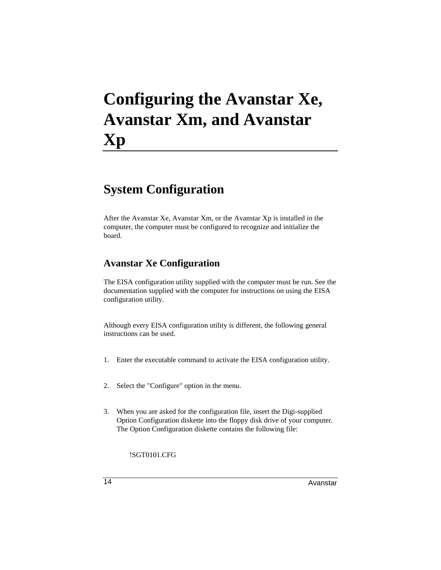# **Configuring the Avanstar Xe, Avanstar Xm, and Avanstar Xp**

# **System Configuration**

After the Avanstar Xe, Avanstar Xm, or the Avanstar Xp is installed in the computer, the computer must be configured to recognize and initialize the board.

### **Avanstar Xe Configuration**

The EISA configuration utility supplied with the computer must be run. See the documentation supplied with the computer for instructions on using the EISA configuration utility.

Although every EISA configuration utility is different, the following general instructions can be used.

- 1. Enter the executable command to activate the EISA configuration utility.
- 2. Select the "Configure" option in the menu.
- 3. When you are asked for the configuration file, insert the Digi-supplied Option Configuration diskette into the floppy disk drive of your computer. The Option Configuration diskette contains the following file:

!SGT0101.CFG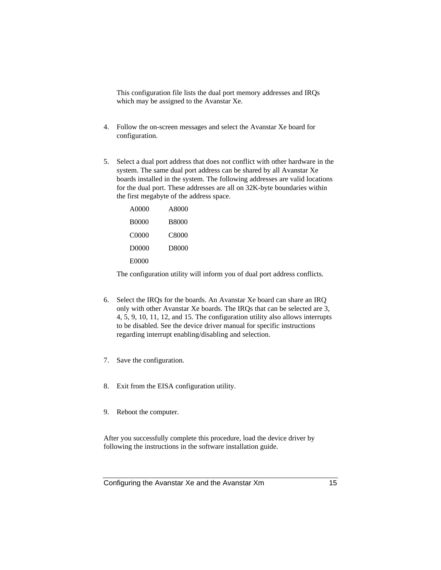This configuration file lists the dual port memory addresses and IRQs which may be assigned to the Avanstar Xe.

- 4. Follow the on-screen messages and select the Avanstar Xe board for configuration.
- 5. Select a dual port address that does not conflict with other hardware in the system. The same dual port address can be shared by all Avanstar Xe boards installed in the system. The following addresses are valid locations for the dual port. These addresses are all on 32K-byte boundaries within the first megabyte of the address space.

| A0000 | A8000        |
|-------|--------------|
| B0000 | <b>B8000</b> |
| C0000 | C8000        |
| D0000 | D8000        |
| E0000 |              |

The configuration utility will inform you of dual port address conflicts.

- 6. Select the IRQs for the boards. An Avanstar Xe board can share an IRQ only with other Avanstar Xe boards. The IRQs that can be selected are 3, 4, 5, 9, 10, 11, 12, and 15. The configuration utility also allows interrupts to be disabled. See the device driver manual for specific instructions regarding interrupt enabling/disabling and selection.
- 7. Save the configuration.
- 8. Exit from the EISA configuration utility.
- 9. Reboot the computer.

After you successfully complete this procedure, load the device driver by following the instructions in the software installation guide.

Configuring the Avanstar Xe and the Avanstar Xm 15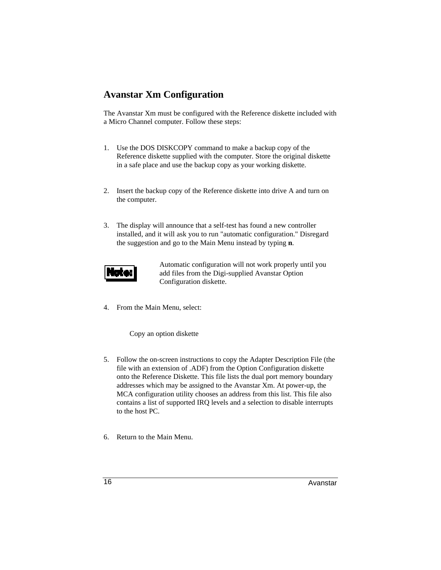### **Avanstar Xm Configuration**

The Avanstar Xm must be configured with the Reference diskette included with a Micro Channel computer. Follow these steps:

- 1. Use the DOS DISKCOPY command to make a backup copy of the Reference diskette supplied with the computer. Store the original diskette in a safe place and use the backup copy as your working diskette.
- 2. Insert the backup copy of the Reference diskette into drive A and turn on the computer.
- 3. The display will announce that a self-test has found a new controller installed, and it will ask you to run "automatic configuration." Disregard the suggestion and go to the Main Menu instead by typing **n**.



Automatic configuration will not work properly until you add files from the Digi-supplied Avanstar Option Configuration diskette.

4. From the Main Menu, select:

Copy an option diskette

- 5. Follow the on-screen instructions to copy the Adapter Description File (the file with an extension of .ADF) from the Option Configuration diskette onto the Reference Diskette. This file lists the dual port memory boundary addresses which may be assigned to the Avanstar Xm. At power-up, the MCA configuration utility chooses an address from this list. This file also contains a list of supported IRQ levels and a selection to disable interrupts to the host PC.
- 6. Return to the Main Menu.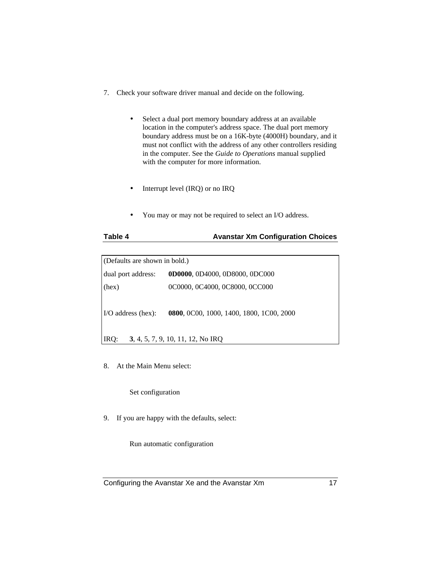- 7. Check your software driver manual and decide on the following.
	- Select a dual port memory boundary address at an available location in the computer's address space. The dual port memory boundary address must be on a 16K-byte (4000H) boundary, and it must not conflict with the address of any other controllers residing in the computer. See the *Guide to Operations* manual supplied with the computer for more information.
	- Interrupt level (IRQ) or no IRQ
	- You may or may not be required to select an I/O address.

| Table 4<br><b>Avanstar Xm Configuration Choices</b> |  |
|-----------------------------------------------------|--|
|-----------------------------------------------------|--|

| (Defaults are shown in bold.) |                                                  |  |
|-------------------------------|--------------------------------------------------|--|
| dual port address:            | 0D0000, 0D4000, 0D8000, 0DC000                   |  |
| (hex)                         | 0C0000, 0C4000, 0C8000, 0CC000                   |  |
| $\sim$ I/O address (hex):     | <b>0800</b> , 0C00, 1000, 1400, 1800, 1C00, 2000 |  |
| IRQ:                          | 3, 4, 5, 7, 9, 10, 11, 12, No IRQ                |  |

8. At the Main Menu select:

### Set configuration

9. If you are happy with the defaults, select:

Run automatic configuration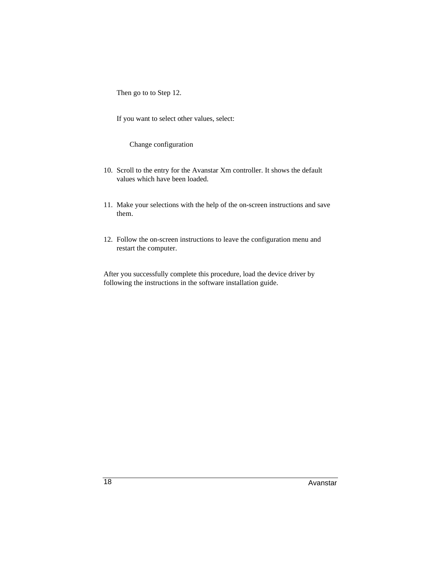Then go to to Step 12.

If you want to select other values, select:

Change configuration

- 10. Scroll to the entry for the Avanstar Xm controller. It shows the default values which have been loaded.
- 11. Make your selections with the help of the on-screen instructions and save them.
- 12. Follow the on-screen instructions to leave the configuration menu and restart the computer.

After you successfully complete this procedure, load the device driver by following the instructions in the software installation guide.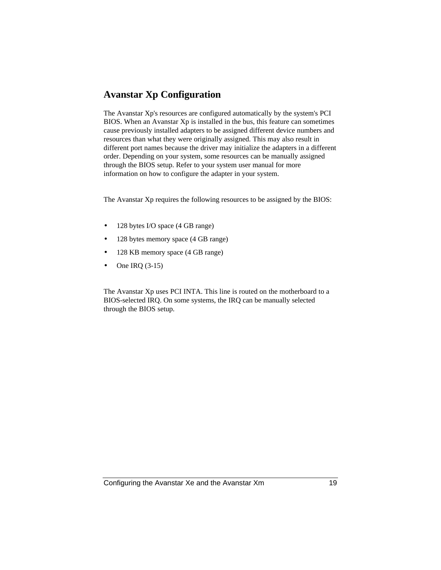### **Avanstar Xp Configuration**

The Avanstar Xp's resources are configured automatically by the system's PCI BIOS. When an Avanstar Xp is installed in the bus, this feature can sometimes cause previously installed adapters to be assigned different device numbers and resources than what they were originally assigned. This may also result in different port names because the driver may initialize the adapters in a different order. Depending on your system, some resources can be manually assigned through the BIOS setup. Refer to your system user manual for more information on how to configure the adapter in your system.

The Avanstar Xp requires the following resources to be assigned by the BIOS:

- 128 bytes I/O space (4 GB range)
- 128 bytes memory space (4 GB range)
- 128 KB memory space (4 GB range)
- One IRQ (3-15)

The Avanstar Xp uses PCI INTA. This line is routed on the motherboard to a BIOS-selected IRQ. On some systems, the IRQ can be manually selected through the BIOS setup.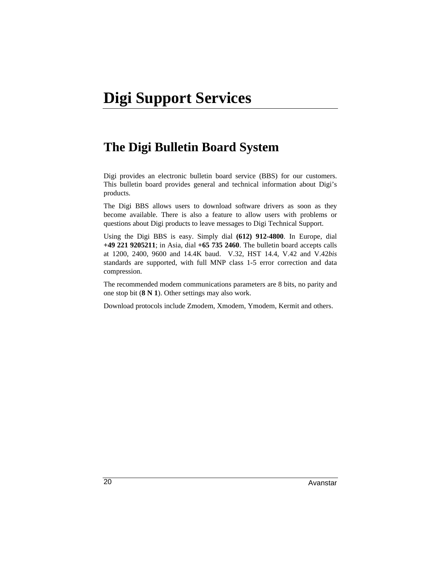## **The Digi Bulletin Board System**

Digi provides an electronic bulletin board service (BBS) for our customers. This bulletin board provides general and technical information about Digi's products.

The Digi BBS allows users to download software drivers as soon as they become available. There is also a feature to allow users with problems or questions about Digi products to leave messages to Digi Technical Support.

Using the Digi BBS is easy. Simply dial **(612) 912-4800**. In Europe, dial **+49 221 9205211**; in Asia, dial **+65 735 2460**. The bulletin board accepts calls at 1200, 2400, 9600 and 14.4K baud. V.32, HST 14.4, V.42 and V.42*bis* standards are supported, with full MNP class 1-5 error correction and data compression.

The recommended modem communications parameters are 8 bits, no parity and one stop bit (**8 N 1**). Other settings may also work.

Download protocols include Zmodem, Xmodem, Ymodem, Kermit and others.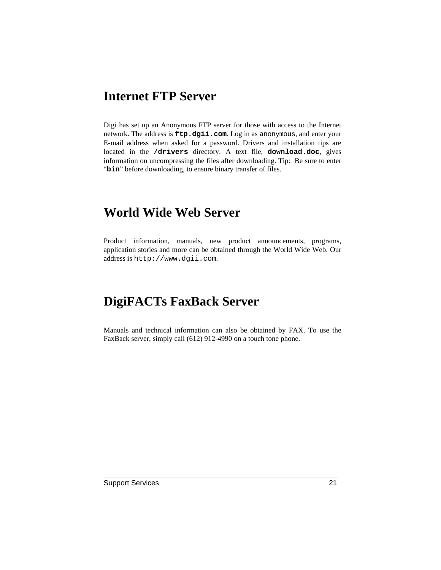## **Internet FTP Server**

Digi has set up an Anonymous FTP server for those with access to the Internet network. The address is **ftp.dgii.com**. Log in as anonymous, and enter your E-mail address when asked for a password. Drivers and installation tips are located in the **/drivers** directory. A text file, **download.doc**, gives information on uncompressing the files after downloading. Tip: Be sure to enter "bin" before downloading, to ensure binary transfer of files.

## **World Wide Web Server**

Product information, manuals, new product announcements, programs, application stories and more can be obtained through the World Wide Web. Our address is http://www.dgii.com.

# **DigiFACTs FaxBack Server**

Manuals and technical information can also be obtained by FAX. To use the FaxBack server, simply call (612) 912-4990 on a touch tone phone.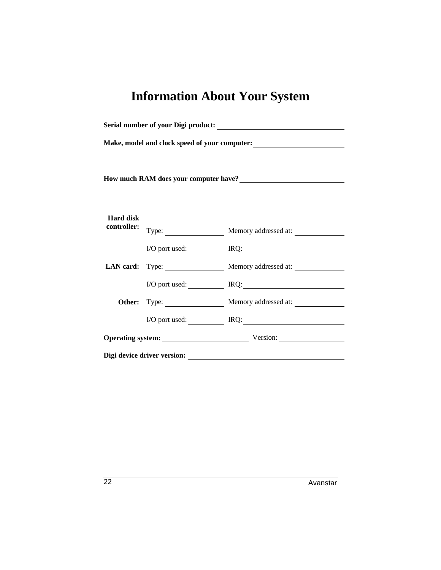# **Information About Your System**

| Make, model and clock speed of your computer:<br><u>Letting</u><br>,我们也不会有什么。""我们的人,我们也不会有什么?""我们的人,我们也不会有什么?""我们的人,我们也不会有什么?""我们的人,我们也不会有什么?""我们的人<br>How much RAM does your computer have?<br><u>Letter and the substitute of the substitute of the substitute</u> of the substitute of the substitute of the substitute of the substitute of the substitute of the substitute of the subs |  |                                      |  |                                 |  |                            |
|----------------------------------------------------------------------------------------------------------------------------------------------------------------------------------------------------------------------------------------------------------------------------------------------------------------------------------------------------------------------------------------------|--|--------------------------------------|--|---------------------------------|--|----------------------------|
|                                                                                                                                                                                                                                                                                                                                                                                              |  |                                      |  | <b>Hard disk</b><br>controller: |  | Type: Memory addressed at: |
|                                                                                                                                                                                                                                                                                                                                                                                              |  |                                      |  |                                 |  | I/O port used: IRQ: IRQ:   |
|                                                                                                                                                                                                                                                                                                                                                                                              |  | LAN card: Type: Memory addressed at: |  |                                 |  |                            |
|                                                                                                                                                                                                                                                                                                                                                                                              |  | I/O port used: IRQ:                  |  |                                 |  |                            |
|                                                                                                                                                                                                                                                                                                                                                                                              |  | Other: Type: Memory addressed at:    |  |                                 |  |                            |
|                                                                                                                                                                                                                                                                                                                                                                                              |  | I/O port used: IRQ: IRQ:             |  |                                 |  |                            |
|                                                                                                                                                                                                                                                                                                                                                                                              |  | Operating system: Version:           |  |                                 |  |                            |
|                                                                                                                                                                                                                                                                                                                                                                                              |  |                                      |  |                                 |  |                            |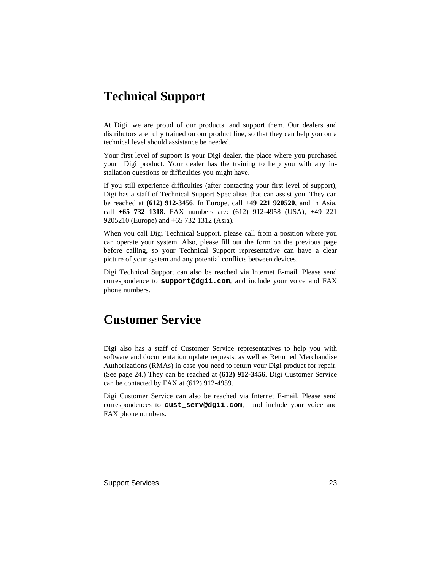## **Technical Support**

At Digi, we are proud of our products, and support them. Our dealers and distributors are fully trained on our product line, so that they can help you on a technical level should assistance be needed.

Your first level of support is your Digi dealer, the place where you purchased your Digi product. Your dealer has the training to help you with any installation questions or difficulties you might have.

If you still experience difficulties (after contacting your first level of support), Digi has a staff of Technical Support Specialists that can assist you. They can be reached at **(612) 912-3456**. In Europe, call **+49 221 920520**, and in Asia, call **+65 732 1318**. FAX numbers are: (612) 912-4958 (USA), +49 221 9205210 (Europe) and +65 732 1312 (Asia).

When you call Digi Technical Support, please call from a position where you can operate your system. Also, please fill out the form on the previous page before calling, so your Technical Support representative can have a clear picture of your system and any potential conflicts between devices.

Digi Technical Support can also be reached via Internet E-mail. Please send correspondence to **support@dgii.com**, and include your voice and FAX phone numbers.

## **Customer Service**

Digi also has a staff of Customer Service representatives to help you with software and documentation update requests, as well as Returned Merchandise Authorizations (RMAs) in case you need to return your Digi product for repair. (See page 24.) They can be reached at **(612) 912-3456**. Digi Customer Service can be contacted by FAX at (612) 912-4959.

Digi Customer Service can also be reached via Internet E-mail. Please send correspondences to **cust\_serv@dgii.com**, and include your voice and FAX phone numbers.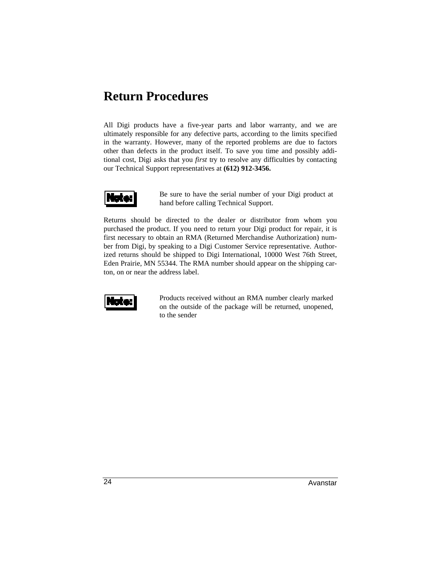## **Return Procedures**

All Digi products have a five-year parts and labor warranty, and we are ultimately responsible for any defective parts, according to the limits specified in the warranty. However, many of the reported problems are due to factors other than defects in the product itself. To save you time and possibly additional cost, Digi asks that you *first* try to resolve any difficulties by contacting our Technical Support representatives at **(612) 912-3456.**



Be sure to have the serial number of your Digi product at hand before calling Technical Support.

Returns should be directed to the dealer or distributor from whom you purchased the product. If you need to return your Digi product for repair, it is first necessary to obtain an RMA (Returned Merchandise Authorization) number from Digi, by speaking to a Digi Customer Service representative. Authorized returns should be shipped to Digi International, 10000 West 76th Street, Eden Prairie, MN 55344. The RMA number should appear on the shipping carton, on or near the address label.



Products received without an RMA number clearly marked on the outside of the package will be returned, unopened, to the sender